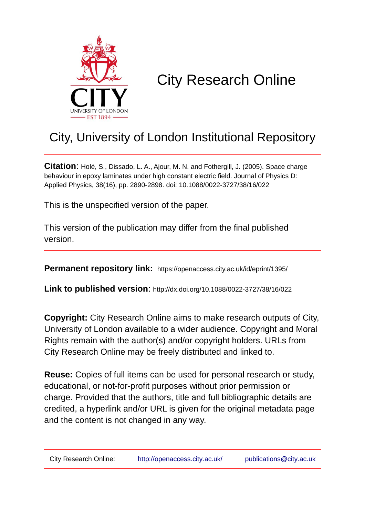

# City Research Online

# City, University of London Institutional Repository

**Citation**: Holé, S., Dissado, L. A., Ajour, M. N. and Fothergill, J. (2005). Space charge behaviour in epoxy laminates under high constant electric field. Journal of Physics D: Applied Physics, 38(16), pp. 2890-2898. doi: 10.1088/0022-3727/38/16/022

This is the unspecified version of the paper.

This version of the publication may differ from the final published version.

**Permanent repository link:** https://openaccess.city.ac.uk/id/eprint/1395/

**Link to published version**: http://dx.doi.org/10.1088/0022-3727/38/16/022

**Copyright:** City Research Online aims to make research outputs of City, University of London available to a wider audience. Copyright and Moral Rights remain with the author(s) and/or copyright holders. URLs from City Research Online may be freely distributed and linked to.

**Reuse:** Copies of full items can be used for personal research or study, educational, or not-for-profit purposes without prior permission or charge. Provided that the authors, title and full bibliographic details are credited, a hyperlink and/or URL is given for the original metadata page and the content is not changed in any way.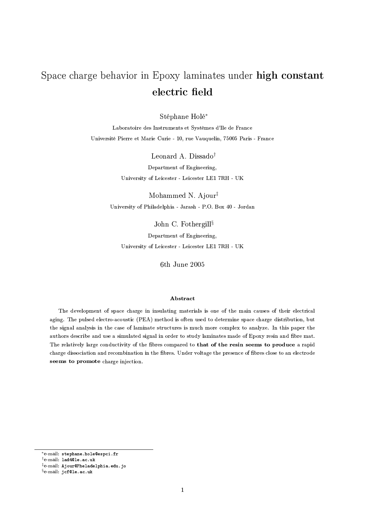# Space charge behavior in Epoxy laminates under high constant electric field

Stéphane Holé\*

Laboratoire des Instruments et Systèmes d'Ile de France Université Pierre et Marie Curie - 10, rue Vauquelin, 75005 Paris - France

> Leonard A. Dissado<sup>†</sup> Department of Engineering, University of Leicester - Leicester LE1 7RH - UK

Mohammed N. Ajour<sup>‡</sup> University of Philadelphia - Jarash - P.O. Box 40 - Jordan

John C. Fothergill $§$ 

Department of Engineering, University of Leicester - Leicester LE1 7RH - UK

6th June 2005

# Abstract

The development of space charge in insulating materials is one of the main causes of their electrical aging. The pulsed electro-acoustic (PEA) method is often used to determine space charge distribution, but the signal analysis in the case of laminate structures is much more complex to analyze. In this paper the authors describe and use a simulated signal in order to study laminates made of Epoxy resin and fibre mat. The relatively large conductivity of the fibres compared to that of the resin seems to produce a rapid charge dissociation and recombination in the fibres. Under voltage the presence of fibres close to an electrode seems to promote charge injection.

<sup>\*</sup>e-mail: stephane.hole@espci.fr

 $\dagger$ e-mail: lad4@le.ac.uk

 $^\ddag$ e-mail: Ajour@Pheladelphia.edu.jo

 $§$ e-mail: jcf@le.ac.uk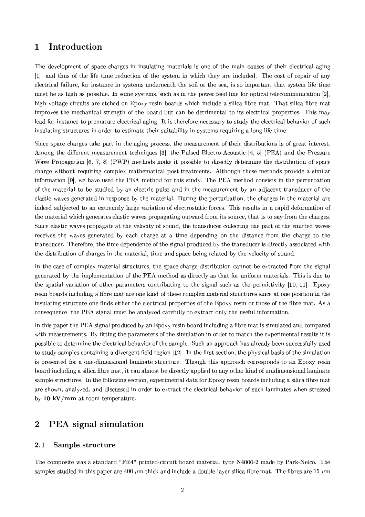## $\mathbf{1}$ Introduction

The development of space charges in insulating materials is one of the main causes of their electrical aging [1], and thus of the life time reduction of the system in which they are included. The cost of repair of any electrical failure, for instance in systems underneath the soil or the sea, is so important that system life time must be as high as possible. In some systems, such as in the power feed line for optical telecommunication [2], high voltage circuits are etched on Epoxy resin boards which include a silica fibre mat. That silica fibre mat improves the mechanical strength of the board but can be detrimental to its electrical properties. This may lead for instance to premature electrical aging. It is therefore necessary to study the electrical behavior of such insulating structures in order to estimate their suitability in systems requiring a long life time.

Since space charges take part in the aging process, the measurement of their distributions is of great interest. Among the different measurement techniques [3], the Pulsed Electro-Acoustic [4, 5] (PEA) and the Pressure Wave Propagation [6, 7, 8] (PWP) methods make it possible to directly determine the distribution of space charge without requiring complex mathematical post-treatments. Although these methods provide a similar information [9], we have used the PEA method for this study. The PEA method consists in the perturbation of the material to be studied by an electric pulse and in the measurement by an adjacent transducer of the elastic waves generated in response by the material. During the perturbation, the charges in the material are indeed subjected to an extremely large variation of electrostatic forces. This results in a rapid deformation of the material which generates elastic waves propagating outward from its source, that is to say from the charges. Since elastic waves propagate at the velocity of sound, the transducer collecting one part of the emitted waves receives the waves generated by each charge at a time depending on the distance from the charge to the transducer. Therefore, the time dependence of the signal produced by the transducer is directly associated with the distribution of charges in the material, time and space being related by the velocity of sound.

In the case of complex material structures, the space charge distribution cannot be extracted from the signal generated by the implementation of the PEA method as directly as that for uniform materials. This is due to the spatial variation of other parameters contributing to the signal such as the permittivity [10, 11]. Epoxy resin boards including a fibre mat are one kind of these complex material structures since at one position in the insulating structure one finds either the electrical properties of the Epoxy resin or those of the fibre mat. As a consequence, the PEA signal must be analyzed carefully to extract only the useful information.

In this paper the PEA signal produced by an Epoxy resin board including a fibre mat is simulated and compared with measurements. By fitting the parameters of the simulation in order to match the experimental results it is possible to determine the electrical behavior of the sample. Such an approach has already been successfully used to study samples containing a divergent field region [12]. In the first section, the physical basis of the simulation is presented for a one-dimensional laminate structure. Though this approach corresponds to an Epoxy resin board including a silica fibre mat, it can almost be directly applied to any other kind of unidimensional laminate sample structures. In the following section, experimental data for Epoxy resin boards including a silica fibre mat are shown, analyzed, and discussed in order to extract the electrical behavior of such laminates when stressed by 10  $\mathrm{kV/mm}$  at room temperature.

## $\overline{2}$ **PEA** signal simulation

#### $2.1$ Sample structure

The composite was a standard "FR4" printed-circuit board material, type N4000-2 made by Park-Nelco. The samples studied in this paper are 400  $\mu$ m thick and include a double-layer silica fibre mat. The fibres are 15  $\mu$ m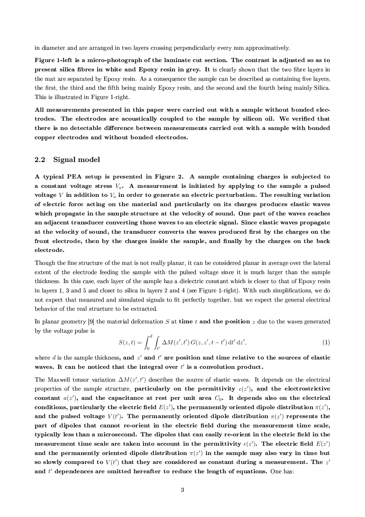in diameter and are arranged in two layers crossing perpendicularly every mm approximatively.

Figure 1-left is a micro-photograph of the laminate cut section. The contrast is adjusted so as to present silica fibres in white and Epoxy resin in grey. It is clearly shown that the two fibre layers in the mat are separated by Epoxy resin. As a consequence the sample can be described as containing five layers, the first, the third and the fifth being mainly Epoxy resin, and the second and the fourth being mainly Silica. This is illustrated in Figure 1-right.

All measurements presented in this paper were carried out with a sample without bonded electrodes. The electrodes are acoustically coupled to the sample by silicon oil. We verified that there is no detectable difference between measurements carried out with a sample with bonded copper electrodes and without bonded electrodes.

#### 2.2 Signal model

A typical PEA setup is presented in Figure 2. A sample containing charges is subjected to a constant voltage stress  $V_a$ . A measurement is initiated by applying to the sample a pulsed voltage V in addition to  $V_a$  in order to generate an electric perturbation. The resulting variation of electric force acting on the material and particularly on its charges produces elastic waves which propagate in the sample structure at the velocity of sound. One part of the waves reaches an adjacent transducer converting those waves to an electric signal. Since elastic waves propagate at the velocity of sound, the transducer converts the waves produced first by the charges on the front electrode, then by the charges inside the sample, and finally by the charges on the back electrode.

Though the fine structure of the mat is not really planar, it can be considered planar in average over the lateral extent of the electrode feeding the sample with the pulsed voltage since it is much larger than the sample thickness. In this case, each layer of the sample has a dielectric constant which is closer to that of Epoxy resin in layers 1, 3 and 5 and closer to silica in layers 2 and 4 (see Figure 1-right). With such simplifications, we do not expect that measured and simulated signals to fit perfectly together, but we expect the general electrical behavior of the real structure to be extracted.

In planar geometry [9] the material deformation S at time t and the position z due to the waves generated by the voltage pulse is

$$
S(z,t) = \int_0^d \int_{t'} \Delta M(z',t') G(z,z',t-t') dt' dz',
$$
 (1)

where d is the sample thickness, and  $z'$  and t' are position and time relative to the sources of elastic waves. It can be noticed that the integral over  $t'$  is a convolution product.

The Maxwell tensor variation  $\Delta M(z',t')$  describes the source of elastic waves. It depends on the electrical properties of the sample structure, particularly on the permittivity  $\epsilon(z')$ , and the electrostrictive constant  $a(z')$ , and the capacitance at rest per unit area  $C_0$ . It depends also on the electrical conditions, particularly the electric field  $E(z')$ , the permanently oriented dipole distribution  $\pi(z')$ , and the pulsed voltage  $V(t')$ . The permanently oriented dipole distribution  $\pi(z')$  represents the part of dipoles that cannot re-orient in the electric field during the measurement time scale, typically less than a microsecond. The dipoles that can easily re-orient in the electric field in the measurement time scale are taken into account in the permittivity  $\epsilon(z')$ . The electric field  $E(z')$ and the permanently oriented dipole distribution  $\pi(z)$  in the sample may also vary in time but so slowly compared to  $V(t')$  that they are considered as constant during a measurement. The z' and  $t'$  dependences are omitted hereafter to reduce the length of equations. One has: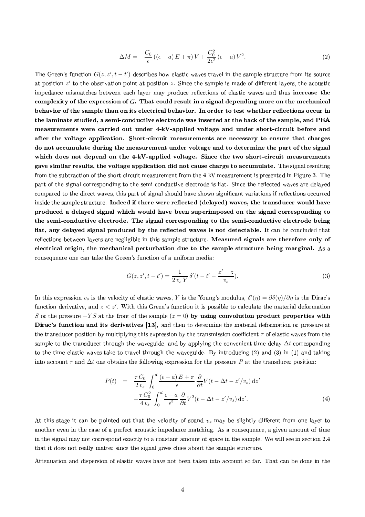$$
\Delta M = -\frac{C_0}{\epsilon} \left( (\epsilon - a) E + \pi \right) V + \frac{C_0^2}{2\epsilon^2} \left( \epsilon - a \right) V^2. \tag{2}
$$

The Green's function  $G(z, z', t-t')$  describes how elastic waves travel in the sample structure from its source at position  $z'$  to the observation point at position z. Since the sample is made of different layers, the acoustic impedance mismatches between each layer may produce reflections of elastic waves and thus increase the complexity of the expression of  $G$ . That could result in a signal depending more on the mechanical behavior of the sample than on its electrical behavior. In order to test whether reflections occur in the laminate studied, a semi-conductive electrode was inserted at the back of the sample, and PEA measurements were carried out under 4-kV-applied voltage and under short-circuit before and after the voltage application. Short-circuit measurements are necessary to ensure that charges do not accumulate during the measurement under voltage and to determine the part of the signal which does not depend on the 4-kV-applied voltage. Since the two short-circuit measurements gave similar results, the voltage application did not cause charge to accumulate. The signal resulting from the subtraction of the short-circuit measurement from the 4-kV measurement is presented in Figure 3. The part of the signal corresponding to the semi-conductive electrode is flat. Since the reflected waves are delayed compared to the direct waves, this part of signal should have shown significant variations if reflections occurred inside the sample structure. Indeed if there were reflected (delayed) waves, the transducer would have produced a delayed signal which would have been superimposed on the signal corresponding to the semi-conductive electrode. The signal corresponding to the semi-conductive electrode being flat, any delayed signal produced by the reflected waves is not detectable. It can be concluded that reflections between layers are negligible in this sample structure. Measured signals are therefore only of electrical origin, the mechanical perturbation due to the sample structure being marginal. As a consequence one can take the Green's function of a uniform media:

$$
G(z, z', t - t') = \frac{1}{2 v_s Y} \delta'(t - t' - \frac{z' - z}{v_s}).
$$
\n(3)

In this expression  $v_s$  is the velocity of elastic waves, Y is the Young's modulus,  $\delta'(\eta) = \partial \delta(\eta)/\partial \eta$  is the Dirac's function derivative, and  $z \leq z'$ . With this Green's function it is possible to calculate the material deformation S or the pressure  $-YS$  at the front of the sample  $(z = 0)$  by using convolution product properties with Dirac's function and its derivatives [13], and then to determine the material deformation or pressure at the transducer position by multiplying this expression by the transmission coefficient  $\tau$  of elastic waves from the sample to the transducer through the waveguide, and by applying the convenient time delay  $\Delta t$  corresponding to the time elastic waves take to travel through the waveguide. By introducing  $(2)$  and  $(3)$  in  $(1)$  and taking into account  $\tau$  and  $\Delta t$  one obtains the following expression for the pressure P at the transducer position:

$$
P(t) = \frac{\tau C_0}{2 v_s} \int_0^d \frac{(\epsilon - a) E + \pi}{\epsilon} \frac{\partial}{\partial t} V(t - \Delta t - z'/v_s) dz'
$$

$$
- \frac{\tau C_0^2}{4 v_s} \int_0^d \frac{\epsilon - a}{\epsilon^2} \frac{\partial}{\partial t} V^2(t - \Delta t - z'/v_s) dz'. \tag{4}
$$

At this stage it can be pointed out that the velocity of sound  $v_s$  may be slightly different from one layer to another even in the case of a perfect acoustic impedance matching. As a consequence, a given amount of time in the signal may not correspond exactly to a constant amount of space in the sample. We will see in section 2.4 that it does not really matter since the signal gives clues about the sample structure.

Attenuation and dispersion of elastic waves have not been taken into account so far. That can be done in the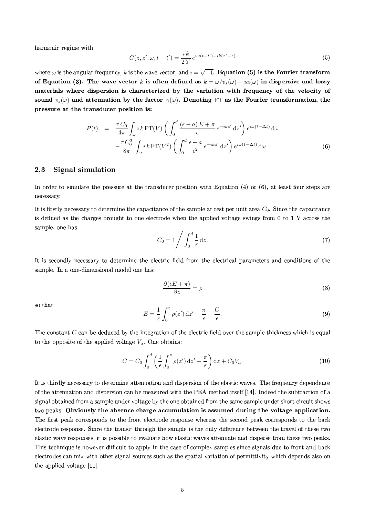harmonic regime with

$$
G(z, z', \omega, t - t') = \frac{i k}{2 Y} e^{i \omega (t - t') - i k (z' - z)}
$$
(5)

where  $\omega$  is the angular frequency, k is the wave vector, and  $i = \sqrt{-1}$ . Equation (5) is the Fourier transform of Equation (3). The wave vector k is often defined as  $k = \omega/v_s(\omega) - i\alpha(\omega)$  in dispersive and lossy materials where dispersion is characterized by the variation with frequency of the velocity of sound  $v_s(\omega)$  and attenuation by the factor  $\alpha(\omega)$ . Denoting FT as the Fourier transformation, the pressure at the transducer position is:

$$
P(t) = \frac{\tau C_0}{4\pi} \int_{\omega} i k \, \text{FT}(V) \left( \int_0^d \frac{(\epsilon - a) E + \pi}{\epsilon} e^{-ikz'} \, \text{d}z' \right) e^{i\omega(t - \Delta t)} \, \text{d}\omega - \frac{\tau C_0^2}{8\pi} \int_{\omega} i k \, \text{FT}(V^2) \left( \int_0^d \frac{\epsilon - a}{\epsilon^2} e^{-ikz'} \, \text{d}z' \right) e^{i\omega(t - \Delta t)} \, \text{d}\omega
$$
 (6)

#### 2.3 Signal simulation

In order to simulate the pressure at the transducer position with Equation  $(4)$  or  $(6)$ , at least four steps are necessary.

It is firstly necessary to determine the capacitance of the sample at rest per unit area  $C_0$ . Since the capacitance is defined as the charges brought to one electrode when the applied voltage swings from  $0$  to  $1$  V across the sample, one has

$$
C_0 = 1 / \int_0^d \frac{1}{\epsilon} \, \mathrm{d}z. \tag{7}
$$

It is secondly necessary to determine the electric field from the electrical parameters and conditions of the sample. In a one-dimensional model one has:

$$
\frac{\partial(\epsilon E + \pi)}{\partial z} = \rho \tag{8}
$$

so that

$$
E = \frac{1}{\epsilon} \int_0^z \rho(z') \, dz' - \frac{\pi}{\epsilon} - \frac{C}{\epsilon}.
$$
\n(9)

The constant C can be deduced by the integration of the electric field over the sample thickness which is equal to the opposite of the applied voltage  $V_a$ . One obtains:

$$
C = C_0 \int_0^d \left( \frac{1}{\epsilon} \int_0^z \rho(z') \, \mathrm{d}z' - \frac{\pi}{\epsilon} \right) \mathrm{d}z + C_0 V_a. \tag{10}
$$

It is thirdly necessary to determine attenuation and dispersion of the elastic waves. The frequency dependence of the attenuation and dispersion can be measured with the PEA method itself [14]. Indeed the subtraction of a signal obtained from a sample under voltage by the one obtained from the same sample under short circuit shows two peaks. Obviously the absence charge accumulation is assumed during the voltage application. The first peak corresponds to the front electrode response whereas the second peak corresponds to the back electrode response. Since the transit through the sample is the only difference between the travel of these two elastic wave responses, it is possible to evaluate how elastic waves attenuate and disperse from these two peaks. This technique is however difficult to apply in the case of complex samples since signals due to front and back electrodes can mix with other signal sources such as the spatial variation of permittivity which depends also on the applied voltage [11].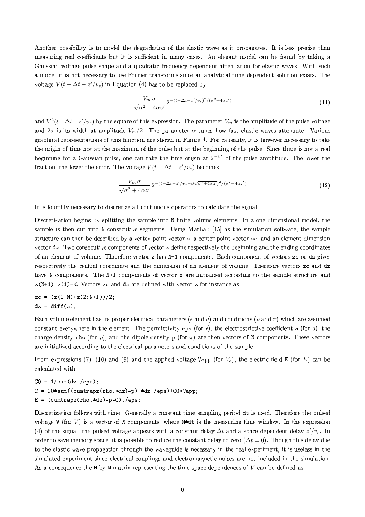Another possibility is to model the degradation of the elastic wave as it propagates. It is less precise than measuring real coefficients but it is sufficient in many cases. An elegant model can be found by taking a Gaussian voltage pulse shape and a quadratic frequency dependent attenuation for elastic waves. With such a model it is not necessary to use Fourier transforms since an analytical time dependent solution exists. The voltage  $V(t - \Delta t - z'/v_s)$  in Equation (4) has to be replaced by

$$
\frac{V_m \sigma}{\sqrt{\sigma^2 + 4\alpha z'}} 2^{-(t - \Delta t - z'/v_s)^2 / (\sigma^2 + 4\alpha z')} \tag{11}
$$

and  $V^2(t-\Delta t - z'/v_s)$  by the square of this expression. The parameter  $V_m$  is the amplitude of the pulse voltage and  $2\sigma$  is its width at amplitude  $V_m/2$ . The parameter  $\alpha$  tunes how fast elastic waves attenuate. Various graphical representations of this function are shown in Figure 4. For causality, it is however necessary to take the origin of time not at the maximum of the pulse but at the beginning of the pulse. Since there is not a real beginning for a Gaussian pulse, one can take the time origin at  $2^{-\beta^2}$  of the pulse amplitude. The lower the fraction, the lower the error. The voltage  $V(t - \Delta t - z'/v_s)$  becomes

$$
\frac{V_m \sigma}{\sqrt{\sigma^2 + 4\alpha z'}} 2^{-(t - \Delta t - z'/v_s - \beta\sqrt{\sigma^2 + 4\alpha z'})^2/(\sigma^2 + 4\alpha z')} \tag{12}
$$

It is fourthly necessary to discretize all continuous operators to calculate the signal.

Discretization begins by splitting the sample into N finite volume elements. In a one-dimensional model, the sample is then cut into N consecutive segments. Using MatLab [15] as the simulation software, the sample structure can then be described by a vertex point vector z, a center point vector zc, and an element dimension vector dz. Two consecutive components of vector z define respectively the beginning and the ending coordinates of an element of volume. Therefore vector z has  $N+1$  components. Each component of vectors zc or dz gives respectively the central coordinate and the dimension of an element of volume. Therefore vectors zc and dz have N components. The N+1 components of vector z are initialized according to the sample structure and  $z(N+1)$ -z(1)=d. Vectors zc and dz are defined with vector z for instance as

 $zc = (z(1:N)+z(2:N+1))/2;$  $dz = diff(z);$ 

Each volume element has its proper electrical parameters ( $\epsilon$  and a) and conditions ( $\rho$  and  $\pi$ ) which are assumed constant everywhere in the element. The permittivity eps (for  $\epsilon$ ), the electrostrictive coefficient a (for a), the charge density rho (for  $\rho$ ), and the dipole density p (for  $\pi$ ) are then vectors of N components. These vectors are initialized according to the electrical parameters and conditions of the sample.

From expressions (7), (10) and (9) and the applied voltage Vapp (for  $V_a$ ), the electric field E (for E) can be calculated with

 $CO = 1/sum(dz./eps);$  $C = \text{C0*sum}((\text{cumtrapz}(\text{rho}.\text{*dz})-p).\text{*dz}./\text{eps})+C0*\text{Vapp};$  $E = (cumtrapz(rho.*dz) - p-C)$ ./eps;

Discretization follows with time. Generally a constant time sampling period dt is used. Therefore the pulsed voltage V (for V) is a vector of M components, where  $M*dt$  is the measuring time window. In the expression (4) of the signal, the pulsed voltage appears with a constant delay  $\Delta t$  and a space dependent delay  $z'/v_s$ . In order to save memory space, it is possible to reduce the constant delay to zero ( $\Delta t = 0$ ). Though this delay due to the elastic wave propagation through the waveguide is necessary in the real experiment, it is useless in the simulated experiment since electrical couplings and electromagnetic noises are not included in the simulation. As a consequence the  $M$  by  $N$  matrix representing the time-space dependences of  $V$  can be defined as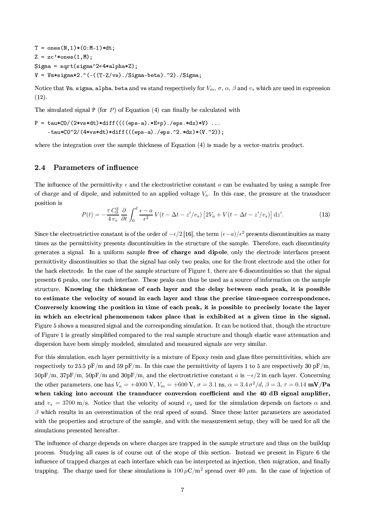```
T = ones(N, 1)*(0:M-1)*dt;Z = zc'*ones(1,M);
Sigma = sqrt(signa^2+4*alpha*);
V = Vm*signa*2. (-((T-Z/vs)./Sigma-beta). 2)./Sigma;
```
Notice that Vm, sigma, alpha, beta and vs stand respectively for  $V_m$ ,  $\sigma$ ,  $\alpha$ ,  $\beta$  and  $v_s$  which are used in expression  $(12).$ 

The simulated signal  $P$  (for  $P$ ) of Equation (4) can finally be calculated with

```
P = \tan*CO/(2*vs*dt)*diff(((eps-a).*E+p)./eps.*dz)*V) ...-tau*CO^2/(4*vs*dt)*diff(((eps-a).(eps.^2.*dz)*(V.^2));
```
where the integration over the sample thickness of Equation  $(4)$  is made by a vector-matrix product.

#### Parameters of influence  $2.4$

The influence of the permittivity  $\epsilon$  and the electrostrictive constant a can be evaluated by using a sample free of charge and of dipole, and submitted to an applied voltage  $V_a$ . In this case, the pressure at the transducer position is

$$
P(t) = -\frac{\tau C_0^2}{4 v_s} \frac{\partial}{\partial t} \int_0^d \frac{\epsilon - a}{\epsilon^2} V(t - \Delta t - z'/v_s) \left[ 2V_a + V(t - \Delta t - z'/v_s) \right] dz'. \tag{13}
$$

Since the electrostrictive constant is of the order of  $-\epsilon/2$  [16], the term  $(\epsilon - a)/\epsilon^2$  presents discontinuities as many times as the permittivity presents discontinuities in the structure of the sample. Therefore, each discontinuity generates a signal. In a uniform sample free of charge and dipole, only the electrode interfaces present permittivity discontinuities so that the signal has only two peaks, one for the front electrode and the other for the back electrode. In the case of the sample structure of Figure 1, there are  $6$  discontinuities so that the signal presents 6 peaks, one for each interface. These peaks can thus be used as a source of information on the sample structure. Knowing the thickness of each layer and the delay between each peak, it is possible to estimate the velocity of sound in each layer and thus the precise time-space correspondence. Conversely knowing the position in time of each peak, it is possible to precisely locate the layer in which an electrical phenomenon takes place that is exhibited at a given time in the signal. Figure 5 shows a measured signal and the corresponding simulation. It can be noticed that, though the structure of Figure 1 is greatly simplified compared to the real sample structure and though elastic wave attenuation and dispersion have been simply modeled, simulated and measured signals are very similar.

For this simulation, each layer permittivity is a mixture of Epoxy resin and glass fibre permittivities, which are respectively to 25.5 pF/m and 59 pF/m. In this case the permittivity of layers 1 to 5 are respectively 30 pF/m,  $50pF/m$ ,  $37pF/m$ ,  $50pF/m$  and  $30pF/m$ , and the electrostrictive constant a is  $-\epsilon/2$  in each layer. Concerning the other parameters, one has  $V_a = +4000 \text{ V}$ ,  $V_m = +600 \text{ V}$ ,  $\sigma = 3.1 \text{ ns}$ ,  $\alpha = 3.4 \sigma^2/d$ ,  $\beta = 3$ ,  $\tau = 0.14 \text{ mV/Pa}$ when taking into account the transducer conversion coefficient and the 40 dB signal amplifier, and  $v_s = 3700$  m/s. Notice that the velocity of sound  $v_s$  used for the simulation depends on factors  $\alpha$  and  $\beta$  which results in an overestimation of the real speed of sound. Since these latter parameters are associated with the properties and structure of the sample, and with the measurement setup, they will be used for all the simulations presented hereafter.

The influence of charge depends on where charges are trapped in the sample structure and thus on the buildup process. Studying all cases is of course out of the scope of this section. Instead we present in Figure 6 the influence of trapped charges at each interface which can be interpreted as injection, then migration, and finally trapping. The charge used for these simulations is  $100 \mu$ C/m<sup>2</sup> spread over 40  $\mu$ m. In the case of injection of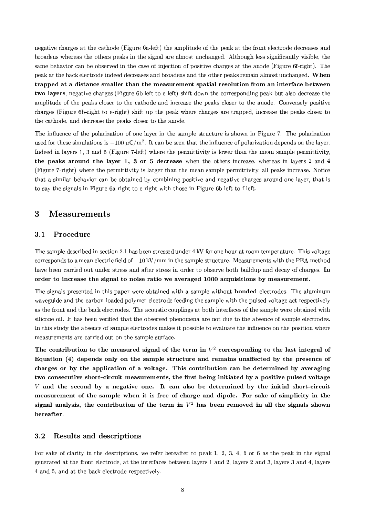negative charges at the cathode (Figure 6a-left) the amplitude of the peak at the front electrode decreases and broadens whereas the others peaks in the signal are almost unchanged. Although less significantly visible, the same behavior can be observed in the case of injection of positive charges at the anode (Figure 6f-right). The peak at the back electrode indeed decreases and broadens and the other peaks remain almost unchanged. When trapped at a distance smaller than the measurement spatial resolution from an interface between two layers, negative charges (Figure 6b-left to e-left) shift down the corresponding peak but also decrease the amplitude of the peaks closer to the cathode and increase the peaks closer to the anode. Conversely positive charges (Figure 6b-right to e-right) shift up the peak where charges are trapped, increase the peaks closer to the cathode, and decrease the peaks closer to the anode.

The influence of the polarization of one layer in the sample structure is shown in Figure 7. The polarization used for these simulations is  $-100 \mu C/m^2$ . It can be seen that the influence of polarization depends on the layer. Indeed in layers 1, 3 and 5 (Figure 7-left) where the permittivity is lower than the mean sample permittivity. the peaks around the layer 1, 3 or 5 decrease when the others increase, whereas in layers 2 and 4 (Figure 7-right) where the permittivity is larger than the mean sample permittivity, all peaks increase. Notice that a similar behavior can be obtained by combining positive and negative charges around one layer, that is to say the signals in Figure 6a-right to e-right with those in Figure 6b-left to f-left.

## 3 Measurements

#### Procedure  $3.1$

The sample described in section 2.1 has been stressed under 4 kV for one hour at room temperature. This voltage corresponds to a mean electric field of  $-10 \text{ kV/mm}$  in the sample structure. Measurements with the PEA method have been carried out under stress and after stress in order to observe both buildup and decay of charges. In order to increase the signal to noise ratio we averaged 1000 acquisitions by measurement.

The signals presented in this paper were obtained with a sample without **bonded** electrodes. The aluminum waveguide and the carbon-loaded polymer electrode feeding the sample with the pulsed voltage act respectively as the front and the back electrodes. The acoustic couplings at both interfaces of the sample were obtained with silicone oil. It has been verified that the observed phenomena are not due to the absence of sample electrodes. In this study the absence of sample electrodes makes it possible to evaluate the influence on the position where measurements are carried out on the sample surface.

The contribution to the measured signal of the term in  $V^2$  corresponding to the last integral of Equation (4) depends only on the sample structure and remains unaffected by the presence of charges or by the application of a voltage. This contribution can be determined by averaging two consecutive short-circuit measurements, the first being initiated by a positive pulsed voltage  $V$  and the second by a negative one. It can also be determined by the initial short-circuit measurement of the sample when it is free of charge and dipole. For sake of simplicity in the signal analysis, the contribution of the term in  $V^2$  has been removed in all the signals shown hereafter.

#### $3.2$ **Results and descriptions**

For sake of clarity in the descriptions, we refer hereafter to peak 1, 2, 3, 4, 5 or 6 as the peak in the signal generated at the front electrode, at the interfaces between layers 1 and 2, layers 2 and 3, layers 3 and 4, layers 4 and 5, and at the back electrode respectively.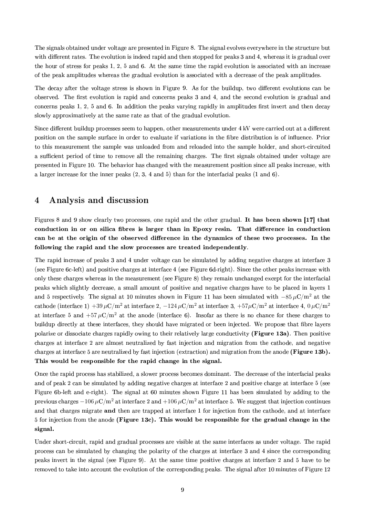The signals obtained under voltage are presented in Figure 8. The signal evolves everywhere in the structure but with different rates. The evolution is indeed rapid and then stopped for peaks 3 and 4, whereas it is gradual over the hour of stress for peaks 1, 2, 5 and 6. At the same time the rapid evolution is associated with an increase of the peak amplitudes whereas the gradual evolution is associated with a decrease of the peak amplitudes.

The decay after the voltage stress is shown in Figure 9. As for the buildup, two different evolutions can be observed. The first evolution is rapid and concerns peaks 3 and 4, and the second evolution is gradual and concerns peaks 1, 2, 5 and 6. In addition the peaks varying rapidly in amplitudes first invert and then decay slowly approximatively at the same rate as that of the gradual evolution.

Since different buildup processes seem to happen, other measurements under 4 kV were carried out at a different position on the sample surface in order to evaluate if variations in the fibre distribution is of influence. Prior to this measurement the sample was unloaded from and reloaded into the sample holder, and short-circuited a sufficient period of time to remove all the remaining charges. The first signals obtained under voltage are presented in Figure 10. The behavior has changed with the measurement position since all peaks increase, with a larger increase for the inner peaks  $(2, 3, 4 \text{ and } 5)$  than for the interfacial peaks  $(1 \text{ and } 6)$ .

## $\overline{\mathbf{4}}$ Analysis and discussion

Figures 8 and 9 show clearly two processes, one rapid and the other gradual. It has been shown [17] that conduction in or on silica fibres is larger than in Epoxy resin. That difference in conduction can be at the origin of the observed difference in the dynamics of these two processes. In the following the rapid and the slow processes are treated independently.

The rapid increase of peaks 3 and 4 under voltage can be simulated by adding negative charges at interface 3 (see Figure 6c-left) and positive charges at interface 4 (see Figure 6d-right). Since the other peaks increase with only these charges whereas in the measurement (see Figure 8) they remain unchanged except for the interfacial peaks which slightly decrease, a small amount of positive and negative charges have to be placed in layers 1 and 5 respectively. The signal at 10 minutes shown in Figure 11 has been simulated with  $-85 \mu C/m^2$  at the cathode (interface 1) +39  $\mu$ C/m<sup>2</sup> at interface 2, -124  $\mu$ C/m<sup>2</sup> at interface 3, +57 $\mu$ C/m<sup>2</sup> at interface 4, 0  $\mu$ C/m<sup>2</sup> at interface 5 and  $+57 \mu$ C/m<sup>2</sup> at the anode (interface 6). Insofar as there is no chance for these charges to buildup directly at these interfaces, they should have migrated or been injected. We propose that fibre layers polarize or dissociate charges rapidly owing to their relatively large conductivity (Figure 13a). Then positive charges at interface 2 are almost neutralized by fast injection and migration from the cathode, and negative charges at interface 5 are neutralized by fast injection (extraction) and migration from the anode (Figure 13b). This would be responsible for the rapid change in the signal.

Once the rapid process has stabilized, a slower process becomes dominant. The decrease of the interfacial peaks and of peak 2 can be simulated by adding negative charges at interface 2 and positive charge at interface 5 (see Figure 6b-left and e-right). The signal at 60 minutes shown Figure 11 has been simulated by adding to the previous charges  $-106 \mu$ C/m<sup>2</sup> at interface 2 and  $+106 \mu$ C/m<sup>2</sup> at interface 5. We suggest that injection continues and that charges migrate and then are trapped at interface 1 for injection from the cathode, and at interface 5 for injection from the anode (Figure 13c). This would be responsible for the gradual change in the signal.

Under short-circuit, rapid and gradual processes are visible at the same interfaces as under voltage. The rapid process can be simulated by changing the polarity of the charges at interface 3 and 4 since the corresponding peaks invert in the signal (see Figure 9). At the same time positive charges at interface 2 and 5 have to be removed to take into account the evolution of the corresponding peaks. The signal after 10 minutes of Figure 12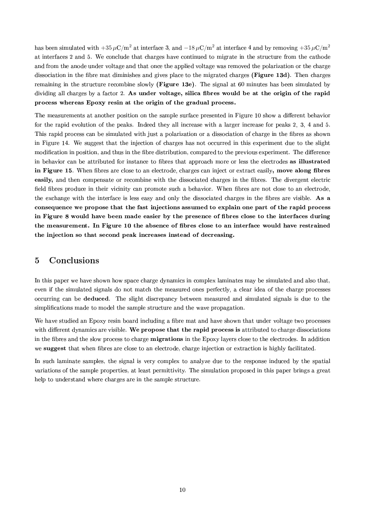has been simulated with  $+35 \mu$ C/m<sup>2</sup> at interface 3, and  $-18 \mu$ C/m<sup>2</sup> at interface 4 and by removing  $+35 \mu$ C/m<sup>2</sup> at interfaces 2 and 5. We conclude that charges have continued to migrate in the structure from the cathode and from the anode under voltage and that once the applied voltage was removed the polarization or the charge dissociation in the fibre mat diminishes and gives place to the migrated charges (Figure 13d). Then charges remaining in the structure recombine slowly (Figure 13e). The signal at 60 minutes has been simulated by dividing all charges by a factor 2. As under voltage, silica fibres would be at the origin of the rapid process whereas Epoxy resin at the origin of the gradual process.

The measurements at another position on the sample surface presented in Figure 10 show a different behavior for the rapid evolution of the peaks. Indeed they all increase with a larger increase for peaks 2, 3, 4 and 5. This rapid process can be simulated with just a polarization or a dissociation of charge in the fibres as shown in Figure 14. We suggest that the injection of charges has not occurred in this experiment due to the slight modification in position, and thus in the fibre distribution, compared to the previous experiment. The difference in behavior can be attributed for instance to fibres that approach more or less the electrodes as illustrated in Figure 15. When fibres are close to an electrode, charges can inject or extract easily, move along fibres easily, and then compensate or recombine with the dissociated charges in the fibres. The divergent electric field fibres produce in their vicinity can promote such a behavior. When fibres are not close to an electrode, the exchange with the interface is less easy and only the dissociated charges in the fibres are visible. As a consequence we propose that the fast injections assumed to explain one part of the rapid process in Figure 8 would have been made easier by the presence of fibres close to the interfaces during the measurement. In Figure 10 the absence of fibres close to an interface would have restrained the injection so that second peak increases instead of decreasing.

### $\overline{5}$ Conclusions

In this paper we have shown how space charge dynamics in complex laminates may be simulated and also that. even if the simulated signals do not match the measured ones perfectly, a clear idea of the charge processes occurring can be deduced. The slight discrepancy between measured and simulated signals is due to the simplifications made to model the sample structure and the wave propagation.

We have studied an Epoxy resin board including a fibre mat and have shown that under voltage two processes with different dynamics are visible. We propose that the rapid process is attributed to charge dissociations in the fibres and the slow process to charge migrations in the Epoxy layers close to the electrodes. In addition we suggest that when fibres are close to an electrode, charge injection or extraction is highly facilitated.

In such laminate samples, the signal is very complex to analyze due to the response induced by the spatial variations of the sample properties, at least permittivity. The simulation proposed in this paper brings a great help to understand where charges are in the sample structure.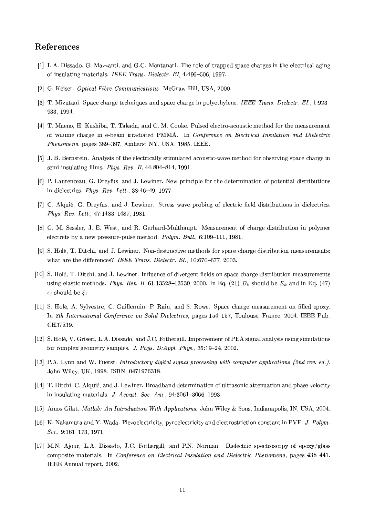# References

- [1] L.A. Dissado, G. Mazzanti, and G.C. Montanari. The role of trapped space charges in the electrical aging of insulating materials. IEEE Trans. Dielectr. EI, 4:496-506, 1997.
- [2] G. Keiser. *Optical Fibre Communications*. McGraw-Hill, USA, 2000.
- [3] T. Mizutani. Space charge techniques and space charge in polyethylene. IEEE Trans. Dielectr. EI., 1:923– 933, 1994.
- [4] T. Maeno, H. Kushiba, T. Takada, and C. M. Cooke. Pulsed electro-acoustic method for the measurement of volume charge in e-beam irradiated PMMA. In Conference on Electrical Insulation and Dielectric Phenomena, pages 389-397, Amherst NY, USA, 1985. IEEE.
- [5] J. B. Bernstein. Analysis of the electrically stimulated acoustic-wave method for observing space charge in semi-insulating films. Phys. Rev. B,  $44:804-814$ , 1991.
- [6] P. Laurenceau, G. Dreyfus, and J. Lewiner. New principle for the determination of potential distributions in dielectrics. Phys. Rev. Lett., 38:46-49, 1977.
- [7] C. Alquié, G. Dreyfus, and J. Lewiner. Stress wave probing of electric field distributions in dielectrics. Phys. Rev. Lett., 47:1483-1487, 1981.
- [8] G. M. Sessler, J. E. West, and R. Gerhard-Multhaupt. Measurement of charge distribution in polymer electrets by a new pressure-pulse method. Polym. Bull., 6:109-111, 1981.
- [9] S. Holé, T. Ditchi, and J. Lewiner. Non-destructive methods for space charge distribution measurements: what are the differences? IEEE Trans. Dielectr. EI., 10:670-677, 2003.
- [10] S. Holé, T. Ditchi, and J. Lewiner. Influence of divergent fields on space charge distribution measurements using elastic methods. Phys. Rev. B, 61:13528-13539, 2000. In Eq. (21)  $B_k$  should be  $E_k$  and in Eq. (47)  $\epsilon_i$  should be  $\xi_i$ .
- [11] S. Holé, A. Sylvestre, C. Guillermin, P. Rain, and S. Rowe. Space charge measurement on filled epoxy. In 8th International Conference on Solid Dielectrics, pages 154-157, Toulouse, France, 2004. IEEE Pub. CH37539.
- [12] S. Holé, V. Griseri, L.A. Dissado, and J.C. Fothergill. Improvement of PEA signal analysis using simulations for complex geometry samples. J. Phys. D:Appl. Phys.,  $35:19-24$ , 2002.
- [13] P.A. Lynn and W. Fuerst. Introductory digital signal processing with computer applications (2nd rev. ed.). John Wiley, UK, 1998. ISBN: 0471976318.
- [14] T. Ditchi, C. Alquié, and J. Lewiner. Broadband determination of ultrasonic attenuation and phase velocity in insulating materials. J. Acoust. Soc. Am.,  $94:3061-3066$ , 1993.
- [15] Amos Gilat. Matlab: An Introduction With Applications. John Wiley & Sons, Indianapolis, IN, USA, 2004.
- [16] K. Nakamura and Y. Wada. Piezoelectricity, pyroelectricity and electrostriction constant in PVF. J. Polym.  $Sci., 9:161-173, 1971.$
- [17] M.N. Ajour, L.A. Dissado, J.C. Fothergill, and P.N. Norman. Dielectric spectroscopy of epoxy/glass composite materials. In Conference on Electrical Insulation and Dielectric Phenomena, pages 438-441. IEEE Annual report, 2002.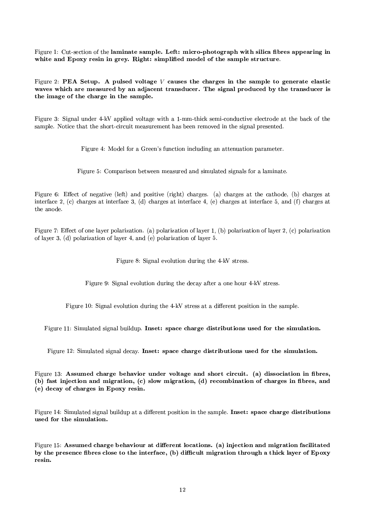Figure 1: Cut-section of the laminate sample. Left: micro-photograph with silica fibres appearing in white and Epoxy resin in grey. Right: simplified model of the sample structure.

Figure 2: PEA Setup. A pulsed voltage  $V$  causes the charges in the sample to generate elastic waves which are measured by an adjacent transducer. The signal produced by the transducer is the image of the charge in the sample.

Figure 3: Signal under 4-kV applied voltage with a 1-mm-thick semi-conductive electrode at the back of the sample. Notice that the short-circuit measurement has been removed in the signal presented.

Figure 4: Model for a Green's function including an attenuation parameter.

Figure 5: Comparison between measured and simulated signals for a laminate.

Figure 6: Effect of negative (left) and positive (right) charges. (a) charges at the cathode, (b) charges at interface 2, (c) charges at interface 3, (d) charges at interface 4, (e) charges at interface 5, and (f) charges at the anode.

Figure 7: Effect of one layer polarization. (a) polarization of layer 1, (b) polarization of layer 2, (c) polarization of layer 3, (d) polarization of layer 4, and (e) polarization of layer 5.

Figure 8: Signal evolution during the 4-kV stress.

Figure 9: Signal evolution during the decay after a one hour 4-kV stress.

Figure 10: Signal evolution during the 4-kV stress at a different position in the sample.

Figure 11: Simulated signal buildup. Inset: space charge distributions used for the simulation.

Figure 12: Simulated signal decay. Inset: space charge distributions used for the simulation.

Figure 13: Assumed charge behavior under voltage and short circuit. (a) dissociation in fibres, (b) fast injection and migration, (c) slow migration, (d) recombination of charges in fibres, and (e) decay of charges in Epoxy resin.

Figure 14: Simulated signal buildup at a different position in the sample. Inset: space charge distributions used for the simulation.

Figure 15: Assumed charge behaviour at different locations. (a) injection and migration facilitated by the presence fibres close to the interface, (b) difficult migration through a thick layer of Epoxy resin.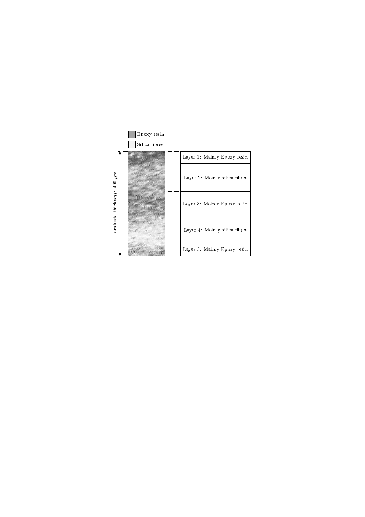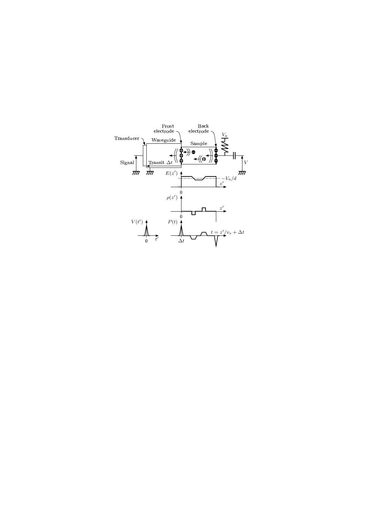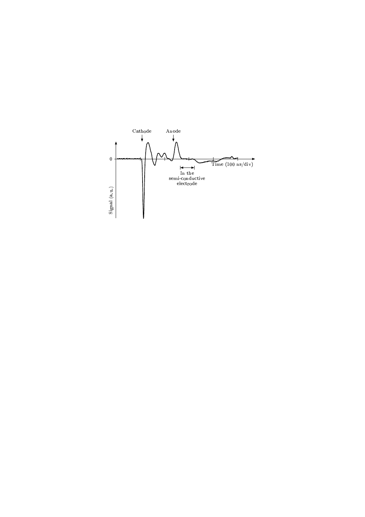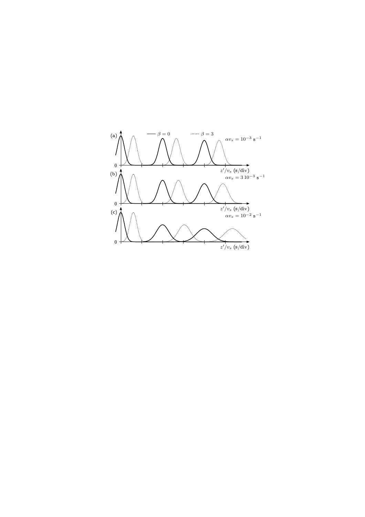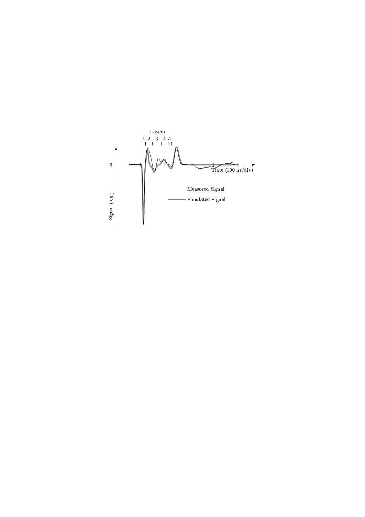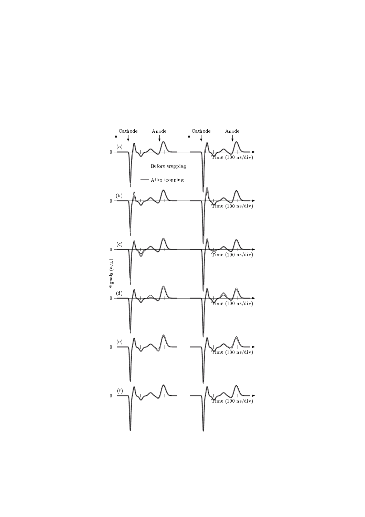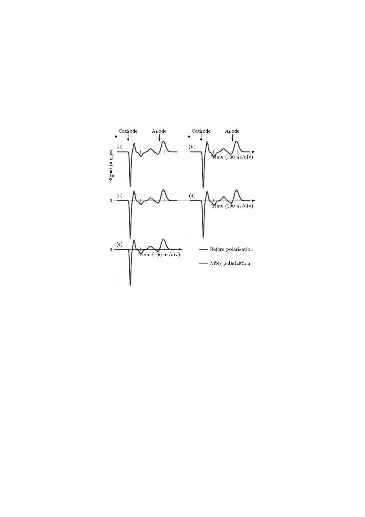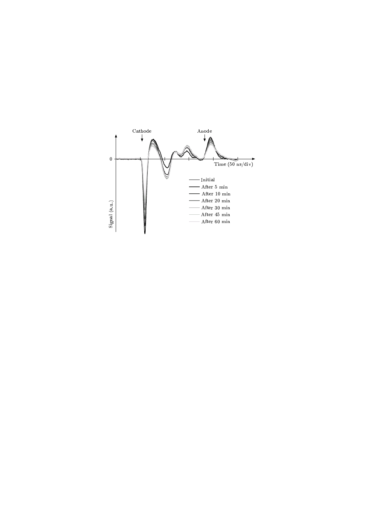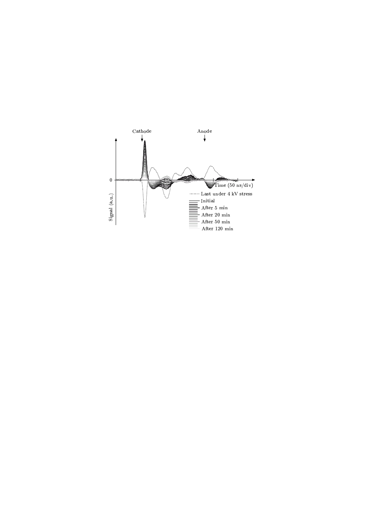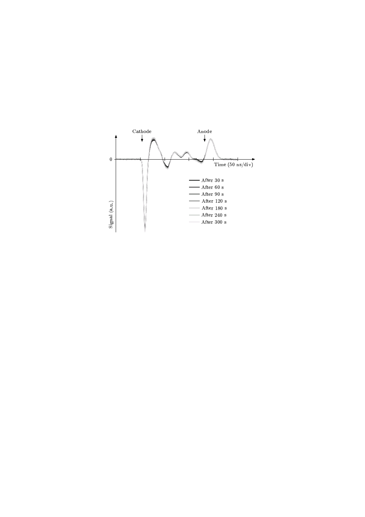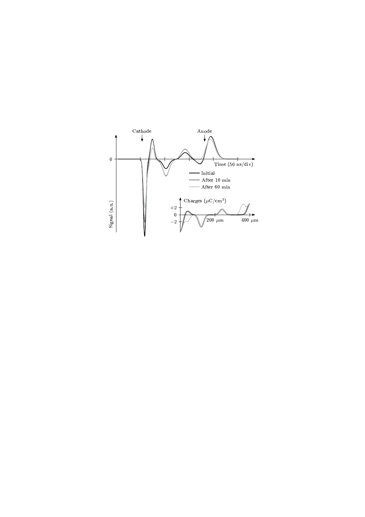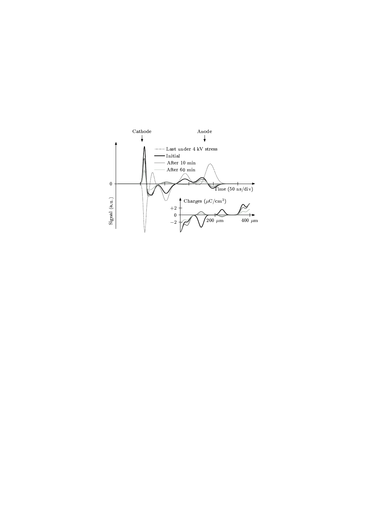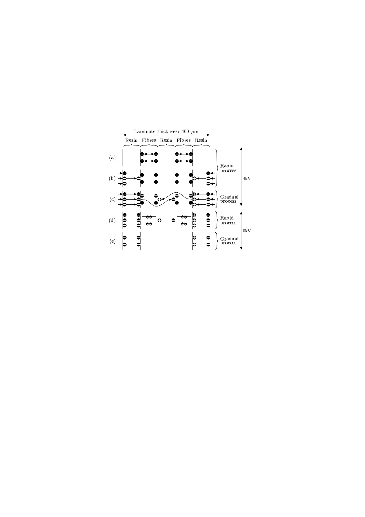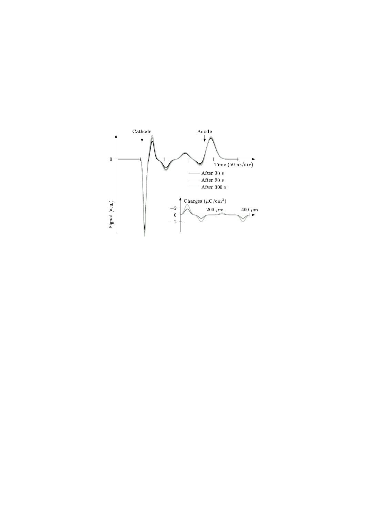